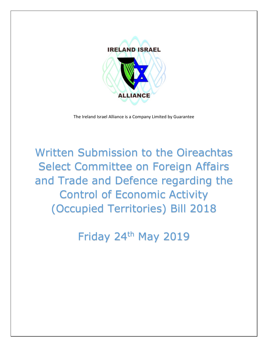

The Ireland Israel Alliance is a Company Limited by Guarantee

Written Submission to the Oireachtas Select Committee on Foreign Affairs and Trade and Defence regarding the Control of Economic Activity (Occupied Territories) Bill 2018

Friday 24th May 2019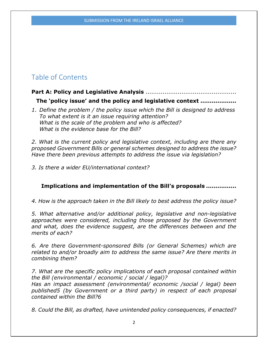# Table of Contents

## **Part A: Policy and Legislative Analysis** ................................................

**The 'policy issue' and the policy and legislative context ...................**

*1. Define the problem / the policy issue which the Bill is designed to address To what extent is it an issue requiring attention? What is the scale of the problem and who is affected? What is the evidence base for the Bill?*

*2. What is the current policy and legislative context, including are there any proposed Government Bills or general schemes designed to address the issue? Have there been previous attempts to address the issue via legislation?* 

*3. Is there a wider EU/international context?* 

## **Implications and implementation of the Bill's proposals ................**

*4. How is the approach taken in the Bill likely to best address the policy issue?* 

*5. What alternative and/or additional policy, legislative and non-legislative approaches were considered, including those proposed by the Government and what, does the evidence suggest, are the differences between and the merits of each?* 

*6. Are there Government-sponsored Bills (or General Schemes) which are related to and/or broadly aim to address the same issue? Are there merits in combining them?* 

*7. What are the specific policy implications of each proposal contained within the Bill (environmental / economic / social / legal)?* 

*Has an impact assessment (environmental/ economic /social / legal) been published5 (by Government or a third party) in respect of each proposal contained within the Bill?6* 

*8. Could the Bill, as drafted, have unintended policy consequences, if enacted?*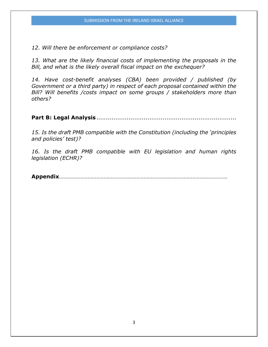*12. Will there be enforcement or compliance costs?* 

*13. What are the likely financial costs of implementing the proposals in the Bill, and what is the likely overall fiscal impact on the exchequer?* 

*14. Have cost-benefit analyses (CBA) been provided / published (by Government or a third party) in respect of each proposal contained within the Bill? Will benefits /costs impact on some groups / stakeholders more than others?* 

**Part B: Legal Analysis**..........................................................................

*15. Is the draft PMB compatible with the Constitution (including the 'principles and policies' test)?* 

*16. Is the draft PMB compatible with EU legislation and human rights legislation (ECHR)?* 

**Appendix**……………………………………………………………………………………………………………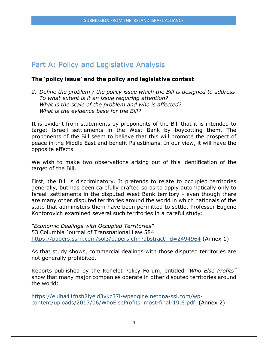## Part A: Policy and Legislative Analysis

#### **The 'policy issue' and the policy and legislative context**

*2. Define the problem / the policy issue which the Bill is designed to address To what extent is it an issue requiring attention? What is the scale of the problem and who is affected? What is the evidence base for the Bill?*

It is evident from statements by proponents of the Bill that it is intended to target Israeli settlements in the West Bank by boycotting them. The proponents of the Bill seem to believe that this will promote the prospect of peace in the Middle East and benefit Palestinians. In our view, it will have the opposite effects.

We wish to make two observations arising out of this identification of the target of the Bill.

First, the Bill is discriminatory. It pretends to relate to occupied territories generally, but has been carefully drafted so as to apply automatically only to Israeli settlements in the disputed West Bank territory - even though there are many other disputed territories around the world in which nationals of the state that administers them have been permitted to settle. Professor Eugene Kontorovich examined several such territories in a careful study:

*"Economic Dealings with Occupied Territories"* 53 Columbia Journal of Transnational Law 584 [https://papers.ssrn.com/sol3/papers.cfm?abstract\\_id=2494964](https://papers.ssrn.com/sol3/papers.cfm?abstract_id=2494964) (Annex 1)

As that study shows, commercial dealings with those disputed territories are not generally prohibited.

Reports published by the Kohelet Policy Forum, entitled *"Who Else Profits"* show that many major companies operate in other disputed territories around the world:

[https://euiha41fnsb2lyeld3vkc37i-wpengine.netdna-ssl.com/wp](https://euiha41fnsb2lyeld3vkc37i-wpengine.netdna-ssl.com/wp-content/uploads/2017/06/WhoElseProfits_most-final-19.6.pdf)[content/uploads/2017/06/WhoElseProfits\\_most-final-19.6.pdf](https://euiha41fnsb2lyeld3vkc37i-wpengine.netdna-ssl.com/wp-content/uploads/2017/06/WhoElseProfits_most-final-19.6.pdf) (Annex 2)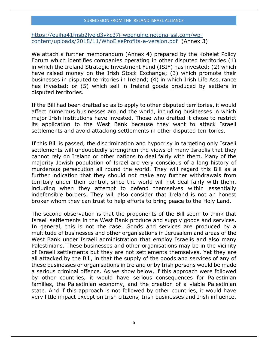#### SUBMISSION FROM THE IRELAND ISRAEL ALLIANCE

[https://euiha41fnsb2lyeld3vkc37i-wpengine.netdna-ssl.com/wp](https://euiha41fnsb2lyeld3vkc37i-wpengine.netdna-ssl.com/wp-content/uploads/2018/11/WhoElseProfits-e-version.pdf)[content/uploads/2018/11/WhoElseProfits-e-version.pdf](https://euiha41fnsb2lyeld3vkc37i-wpengine.netdna-ssl.com/wp-content/uploads/2018/11/WhoElseProfits-e-version.pdf) (Annex 3)

We attach a further memorandum (Annex 4) prepared by the Kohelet Policy Forum which identifies companies operating in other disputed territories (1) in which the Ireland Strategic Investment Fund (ISIF) has invested; (2) which have raised money on the Irish Stock Exchange; (3) which promote their businesses in disputed territories in Ireland; (4) in which Irish Life Assurance has invested; or (5) which sell in Ireland goods produced by settlers in disputed territories.

If the Bill had been drafted so as to apply to other disputed territories, it would affect numerous businesses around the world, including businesses in which major Irish institutions have invested. Those who drafted it chose to restrict its application to the West Bank because they want to attack Israeli settlements and avoid attacking settlements in other disputed territories.

If this Bill is passed, the discrimination and hypocrisy in targeting only Israeli settlements will undoubtedly strengthen the views of many Israelis that they cannot rely on Ireland or other nations to deal fairly with them. Many of the majority Jewish population of Israel are very conscious of a long history of murderous persecution all round the world. They will regard this Bill as a further indication that they should not make any further withdrawals from territory under their control, since the world will not deal fairly with them, including when they attempt to defend themselves within essentially indefensible borders. They will also consider that Ireland is not an honest broker whom they can trust to help efforts to bring peace to the Holy Land.

The second observation is that the proponents of the Bill seem to think that Israeli settlements in the West Bank produce and supply goods and services. In general, this is not the case. Goods and services are produced by a multitude of businesses and other organisations in Jerusalem and areas of the West Bank under Israeli administration that employ Israelis and also many Palestinians. These businesses and other organisations may be in the vicinity of Israeli settlements but they are not settlements themselves. Yet they are all attacked by the Bill, in that the supply of the goods and services of any of these businesses or organisations in Ireland or by Irish persons would be made a serious criminal offence. As we show below, if this approach were followed by other countries, it would have serious consequences for Palestinian families, the Palestinian economy, and the creation of a viable Palestinian state. And if this approach is not followed by other countries, it would have very little impact except on Irish citizens, Irish businesses and Irish influence.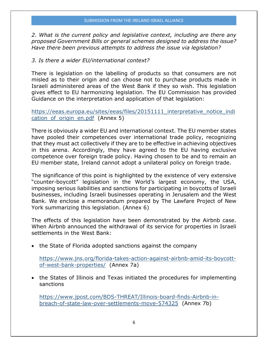*2. What is the current policy and legislative context, including are there any proposed Government Bills or general schemes designed to address the issue? Have there been previous attempts to address the issue via legislation?* 

#### *3. Is there a wider EU/international context?*

There is legislation on the labelling of products so that consumers are not misled as to their origin and can choose not to purchase products made in Israeli administered areas of the West Bank if they so wish. This legislation gives effect to EU harmonizing legislation. The EU Commission has provided Guidance on the interpretation and application of that legislation:

[https://eeas.europa.eu/sites/eeas/files/20151111\\_interpretative\\_notice\\_indi](https://eeas.europa.eu/sites/eeas/files/20151111_interpretative_notice_indication_of_origin_en.pdf) cation of origin en.pdf (Annex 5)

There is obviously a wider EU and international context. The EU member states have pooled their competences over international trade policy, recognizing that they must act collectively if they are to be effective in achieving objectives in this arena. Accordingly, they have agreed to the EU having exclusive competence over foreign trade policy. Having chosen to be and to remain an EU member state, Ireland cannot adopt a unilateral policy on foreign trade.

The significance of this point is highlighted by the existence of very extensive "counter-boycott" legislation in the World's largest economy, the USA, imposing serious liabilities and sanctions for participating in boycotts of Israeli businesses, including Israeli businesses operating in Jerusalem and the West Bank. We enclose a memorandum prepared by The Lawfare Project of New York summarizing this legislation. (Annex 6)

The effects of this legislation have been demonstrated by the Airbnb case. When Airbnb announced the withdrawal of its service for properties in Israeli settlements in the West Bank:

• the State of Florida adopted sanctions against the company

[https://www.jns.org/florida-takes-action-against-airbnb-amid-its-boycott](https://www.jns.org/florida-takes-action-against-airbnb-amid-its-boycott-of-west-bank-properties/)[of-west-bank-properties/](https://www.jns.org/florida-takes-action-against-airbnb-amid-its-boycott-of-west-bank-properties/) (Annex 7a)

• the States of Illinois and Texas initiated the procedures for implementing sanctions

[https://www.jpost.com/BDS-THREAT/Illinois-board-finds-Airbnb-in](https://www.jpost.com/BDS-THREAT/Illinois-board-finds-Airbnb-in-breach-of-state-law-over-settlements-move-574325)[breach-of-state-law-over-settlements-move-574325](https://www.jpost.com/BDS-THREAT/Illinois-board-finds-Airbnb-in-breach-of-state-law-over-settlements-move-574325) (Annex 7b)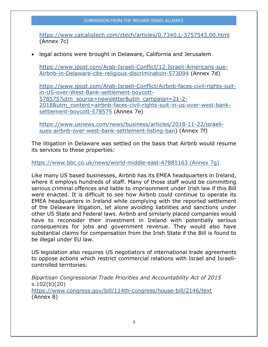#### SUBMISSION FROM THE IRELAND ISRAEL ALLIANCE

<https://www.calcalistech.com/ctech/articles/0,7340,L-3757543,00.html> (Annex 7c)

• legal actions were brought in Delaware, California and Jerusalem

[https://www.jpost.com/Arab-Israeli-Conflict/12-Israeli-Americans-sue-](https://www.jpost.com/Arab-Israeli-Conflict/12-Israeli-Americans-sue-Airbnb-in-Delaware-cite-religious-discrimination-573094)[Airbnb-in-Delaware-cite-religious-discrimination-573094](https://www.jpost.com/Arab-Israeli-Conflict/12-Israeli-Americans-sue-Airbnb-in-Delaware-cite-religious-discrimination-573094) (Annex 7d)

[https://www.jpost.com/Arab-Israeli-Conflict/Airbnb-faces-civil-rights-suit](https://www.jpost.com/Arab-Israeli-Conflict/Airbnb-faces-civil-rights-suit-in-US-over-West-Bank-settlement-boycott-578575?utm_source=newsletter&utm_campaign=21-2-2018&utm_content=airbnb-faces-civil-rights-suit-in-us-over-west-bank-settlement-boycott-578575)[in-US-over-West-Bank-settlement-boycott-](https://www.jpost.com/Arab-Israeli-Conflict/Airbnb-faces-civil-rights-suit-in-US-over-West-Bank-settlement-boycott-578575?utm_source=newsletter&utm_campaign=21-2-2018&utm_content=airbnb-faces-civil-rights-suit-in-us-over-west-bank-settlement-boycott-578575)[578575?utm\\_source=newsletter&utm\\_campaign=21-2-](https://www.jpost.com/Arab-Israeli-Conflict/Airbnb-faces-civil-rights-suit-in-US-over-West-Bank-settlement-boycott-578575?utm_source=newsletter&utm_campaign=21-2-2018&utm_content=airbnb-faces-civil-rights-suit-in-us-over-west-bank-settlement-boycott-578575) [2018&utm\\_content=airbnb-faces-civil-rights-suit-in-us-over-west-bank](https://www.jpost.com/Arab-Israeli-Conflict/Airbnb-faces-civil-rights-suit-in-US-over-West-Bank-settlement-boycott-578575?utm_source=newsletter&utm_campaign=21-2-2018&utm_content=airbnb-faces-civil-rights-suit-in-us-over-west-bank-settlement-boycott-578575)[settlement-boycott-578575](https://www.jpost.com/Arab-Israeli-Conflict/Airbnb-faces-civil-rights-suit-in-US-over-West-Bank-settlement-boycott-578575?utm_source=newsletter&utm_campaign=21-2-2018&utm_content=airbnb-faces-civil-rights-suit-in-us-over-west-bank-settlement-boycott-578575) (Annex 7e)

[https://www.usnews.com/news/business/articles/2018-11-22/israeli](https://www.usnews.com/news/business/articles/2018-11-22/israeli-sues-airbnb-over-west-bank-settlement-listing-ban)[sues-airbnb-over-west-bank-settlement-listing-ban\)](https://www.usnews.com/news/business/articles/2018-11-22/israeli-sues-airbnb-over-west-bank-settlement-listing-ban) (Annex 7f)

The litigation in Delaware was settled on the basis that Airbnb would resume its services to these properties:

<https://www.bbc.co.uk/news/world-middle-east-47881163> (Annex 7g)

Like many US based businesses, Airbnb has its EMEA headquarters in Ireland, where it employs hundreds of staff. Many of those staff would be committing serious criminal offences and liable to imprisonment under Irish law if this Bill were enacted. It is difficult to see how Airbnb could continue to operate its EMEA headquarters in Ireland while complying with the reported settlement of the Delaware litigation, let alone avoiding liabilities and sanctions under other US State and Federal laws. Airbnb and similarly placed companies would have to reconsider their investment in Ireland with potentially serious consequences for jobs and government revenue. They would also have substantial claims for compensation from the Irish State if the Bill is found to be illegal under EU law.

US legislation also requires US negotiators of international trade agreements to oppose actions which restrict commercial relations with Israel and Israelicontrolled territories:

*Bipartisan Congressional Trade Priorities and Accountability Act of 2015*  s.102(b)(20) <https://www.congress.gov/bill/114th-congress/house-bill/2146/text> (Annex 8)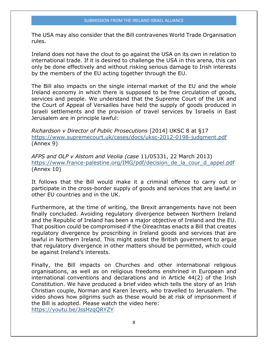The USA may also consider that the Bill contravenes World Trade Organisation rules.

Ireland does not have the clout to go against the USA on its own in relation to international trade. If it is desired to challenge the USA in this arena, this can only be done effectively and without risking serious damage to Irish interests by the members of the EU acting together through the EU.

The Bill also impacts on the single internal market of the EU and the whole Ireland economy in which there is supposed to be free circulation of goods, services and people. We understand that the Supreme Court of the UK and the Court of Appeal of Versailles have held the supply of goods produced in Israeli settlements and the provision of travel services by Israelis in East Jerusalem are in principle lawful:

*Richardson v Director of Public Prosecutions* [2014] UKSC 8 at §17 <https://www.supremecourt.uk/cases/docs/uksc-2012-0198-judgment.pdf> (Annex 9)

*AFPS and OLP v Alstom and Veolia (case* 11/05331, 22 March 2013) https://www.france-palestine.org/IMG/pdf/decision de la cour d appel.pdf (Annex 10)

It follows that the Bill would make it a criminal offence to carry out or participate in the cross-border supply of goods and services that are lawful in other EU countries and in the UK.

Furthermore, at the time of writing, the Brexit arrangements have not been finally concluded. Avoiding regulatory divergence between Northern Ireland and the Republic of Ireland has been a major objective of Ireland and the EU. That position could be compromised if the Oireachtas enacts a Bill that creates regulatory divergence by proscribing in Ireland goods and services that are lawful in Northern Ireland. This might assist the British government to argue that regulatory divergence in other matters should be permitted, which could be against Ireland's interests.

Finally, the Bill impacts on Churches and other international religious organisations, as well as on religious freedoms enshrined in European and international conventions and declarations and in Article 44(2) of the Irish Constitution. We have produced a brief video which tells the story of an Irish Christian couple, Norman and Karen Ievers, who travelled to Jerusalem. The video shows how pilgrims such as these would be at risk of imprisonment if the Bill is adopted. Please watch the video here: <https://youtu.be/JssHzqQRYZY>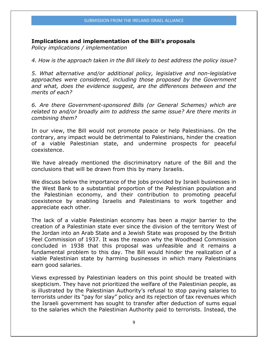#### **Implications and implementation of the Bill's proposals**

*Policy implications / implementation* 

*4. How is the approach taken in the Bill likely to best address the policy issue?* 

*5. What alternative and/or additional policy, legislative and non-legislative approaches were considered, including those proposed by the Government and what, does the evidence suggest, are the differences between and the merits of each?* 

*6. Are there Government-sponsored Bills (or General Schemes) which are related to and/or broadly aim to address the same issue? Are there merits in combining them?* 

In our view, the Bill would not promote peace or help Palestinians. On the contrary, any impact would be detrimental to Palestinians, hinder the creation of a viable Palestinian state, and undermine prospects for peaceful coexistence.

We have already mentioned the discriminatory nature of the Bill and the conclusions that will be drawn from this by many Israelis.

We discuss below the importance of the jobs provided by Israeli businesses in the West Bank to a substantial proportion of the Palestinian population and the Palestinian economy, and their contribution to promoting peaceful coexistence by enabling Israelis and Palestinians to work together and appreciate each other.

The lack of a viable Palestinian economy has been a major barrier to the creation of a Palestinian state ever since the division of the territory West of the Jordan into an Arab State and a Jewish State was proposed by the British Peel Commission of 1937. It was the reason why the Woodhead Commission concluded in 1938 that this proposal was unfeasible and it remains a fundamental problem to this day. The Bill would hinder the realization of a viable Palestinian state by harming businesses in which many Palestinians earn good salaries.

Views expressed by Palestinian leaders on this point should be treated with skepticism. They have not prioritized the welfare of the Palestinian people, as is illustrated by the Palestinian Authority's refusal to stop paying salaries to terrorists under its "pay for slay" policy and its rejection of tax revenues which the Israeli government has sought to transfer after deduction of sums equal to the salaries which the Palestinian Authority paid to terrorists. Instead, the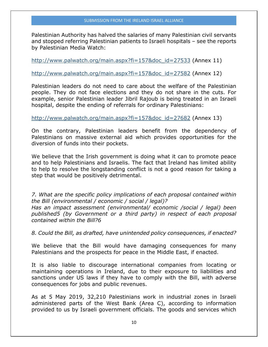Palestinian Authority has halved the salaries of many Palestinian civil servants and stopped referring Palestinian patients to Israeli hospitals – see the reports by Palestinian Media Watch:

[http://www.palwatch.org/main.aspx?fi=157&doc\\_id=27533](http://www.palwatch.org/main.aspx?fi=157&doc_id=27533) (Annex 11)

[http://www.palwatch.org/main.aspx?fi=157&doc\\_id=27582](http://www.palwatch.org/main.aspx?fi=157&doc_id=27582) (Annex 12)

Palestinian leaders do not need to care about the welfare of the Palestinian people. They do not face elections and they do not share in the cuts. For example, senior Palestinian leader Jibril Rajoub is being treated in an Israeli hospital, despite the ending of referrals for ordinary Palestinians:

[http://www.palwatch.org/main.aspx?fi=157&doc\\_id=27682](http://www.palwatch.org/main.aspx?fi=157&doc_id=27682) (Annex 13)

On the contrary, Palestinian leaders benefit from the dependency of Palestinians on massive external aid which provides opportunities for the diversion of funds into their pockets.

We believe that the Irish government is doing what it can to promote peace and to help Palestinians and Israelis. The fact that Ireland has limited ability to help to resolve the longstanding conflict is not a good reason for taking a step that would be positively detrimental.

*7. What are the specific policy implications of each proposal contained within the Bill (environmental / economic / social / legal)?* 

*Has an impact assessment (environmental/ economic /social / legal) been published5 (by Government or a third party) in respect of each proposal contained within the Bill?6* 

*8. Could the Bill, as drafted, have unintended policy consequences, if enacted?* 

We believe that the Bill would have damaging consequences for many Palestinians and the prospects for peace in the Middle East, if enacted.

It is also liable to discourage international companies from locating or maintaining operations in Ireland, due to their exposure to liabilities and sanctions under US laws if they have to comply with the Bill, with adverse consequences for jobs and public revenues.

As at 5 May 2019, 32,210 Palestinians work in industrial zones in Israeli administered parts of the West Bank (Area C), according to information provided to us by Israeli government officials. The goods and services which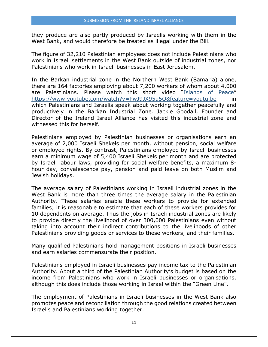they produce are also partly produced by Israelis working with them in the West Bank, and would therefore be treated as illegal under the Bill.

The figure of 32,210 Palestinian employees does not include Palestinians who work in Israeli settlements in the West Bank outside of industrial zones, nor Palestinians who work in Israeli businesses in East Jerusalem.

In the Barkan industrial zone in the Northern West Bank (Samaria) alone, there are 164 factories employing about 7,200 workers of whom about 4,000 are Palestinians. Please watch this short video "Islands of Peace" <https://www.youtube.com/watch?v=PwJ9JX95u5Q&feature=youtu.be> in which Palestinians and Israelis speak about working together peacefully and productively in the Barkan Industrial Zone. Jackie Goodall, Founder and Director of the Ireland Israel Alliance has visited this industrial zone and witnessed this for herself.

Palestinians employed by Palestinian businesses or organisations earn an average of 2,000 Israeli Shekels per month, without pension, social welfare or employee rights. By contrast, Palestinians employed by Israeli businesses earn a minimum wage of 5,400 Israeli Shekels per month and are protected by Israeli labour laws, providing for social welfare benefits, a maximum 8 hour day, convalescence pay, pension and paid leave on both Muslim and Jewish holidays.

The average salary of Palestinians working in Israeli industrial zones in the West Bank is more than three times the average salary in the Palestinian Authority. These salaries enable these workers to provide for extended families; it is reasonable to estimate that each of these workers provides for 10 dependents on average. Thus the jobs in Israeli industrial zones are likely to provide directly the livelihood of over 300,000 Palestinians even without taking into account their indirect contributions to the livelihoods of other Palestinians providing goods or services to these workers, and their families.

Many qualified Palestinians hold management positions in Israeli businesses and earn salaries commensurate their position.

Palestinians employed in Israeli businesses pay income tax to the Palestinian Authority. About a third of the Palestinian Authority's budget is based on the income from Palestinians who work in Israeli businesses or organisations, although this does include those working in Israel within the "Green Line".

The employment of Palestinians in Israeli businesses in the West Bank also promotes peace and reconciliation through the good relations created between Israelis and Palestinians working together.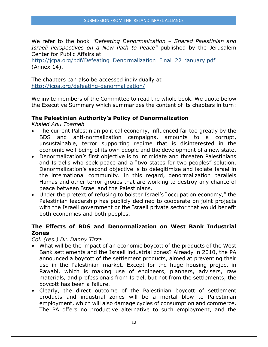We refer to the book *"Defeating Denormalization – Shared Palestinian and Israeli Perspectives on a New Path to Peace"* published by the Jerusalem Center for Public Affairs at

http://jcpa.org/pdf/Defeating Denormalization Final 22 january.pdf (Annex 14).

The chapters can also be accessed individually at <http://jcpa.org/defeating-denormalization/>

We invite members of the Committee to read the whole book. We quote below the Executive Summary which summarizes the content of its chapters in turn:

### **The Palestinian Authority's Policy of Denormalization**

*Khaled Abu Toameh* 

- The current Palestinian political economy, influenced far too greatly by the BDS and anti-normalization campaigns, amounts to a corrupt, unsustainable, terror supporting regime that is disinterested in the economic well-being of its own people and the development of a new state.
- Denormalization's first objective is to intimidate and threaten Palestinians and Israelis who seek peace and a "two states for two peoples" solution. Denormalization's second objective is to delegitimize and isolate Israel in the international community. In this regard, denormalization parallels Hamas and other terror groups that are working to destroy any chance of peace between Israel and the Palestinians.
- Under the pretext of refusing to bolster Israel's "occupation economy," the Palestinian leadership has publicly declined to cooperate on joint projects with the Israeli government or the Israeli private sector that would benefit both economies and both peoples.

### **The Effects of BDS and Denormalization on West Bank Industrial Zones**

#### *Col. (res.) Dr. Danny Tirza*

- What will be the impact of an economic boycott of the products of the West Bank settlements and the Israeli industrial zones? Already in 2010, the PA announced a boycott of the settlement products, aimed at preventing their use in the Palestinian market. Except for the huge housing project in Rawabi, which is making use of engineers, planners, advisers, raw materials, and professionals from Israel, but not from the settlements, the boycott has been a failure.
- Clearly, the direct outcome of the Palestinian boycott of settlement products and industrial zones will be a mortal blow to Palestinian employment, which will also damage cycles of consumption and commerce. The PA offers no productive alternative to such employment, and the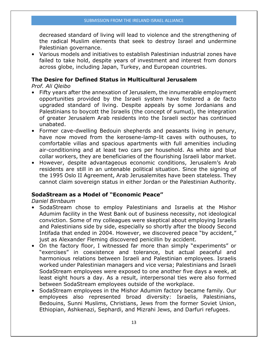decreased standard of living will lead to violence and the strengthening of the radical Muslim elements that seek to destroy Israel and undermine Palestinian governance.

• Various models and initiatives to establish Palestinian industrial zones have failed to take hold, despite years of investment and interest from donors across globe, including Japan, Turkey, and European countries.

#### **The Desire for Defined Status in Multicultural Jerusalem**

*Prof. Ali Qleibo* 

- Fifty years after the annexation of Jerusalem, the innumerable employment opportunities provided by the Israeli system have fostered a de facto upgraded standard of living. Despite appeals by some Jordanians and Palestinians to boycott the Israelis (the concept of sumud), the integration of greater Jerusalem Arab residents into the Israeli sector has continued unabated.
- Former cave-dwelling Bedouin shepherds and peasants living in penury, have now moved from the kerosene-lamp-lit caves with outhouses, to comfortable villas and spacious apartments with full amenities including air-conditioning and at least two cars per household. As white and blue collar workers, they are beneficiaries of the flourishing Israeli labor market.
- However, despite advantageous economic conditions, Jerusalem's Arab residents are still in an untenable political situation. Since the signing of the 1995 Oslo II Agreement, Arab Jerusalemites have been stateless. They cannot claim sovereign status in either Jordan or the Palestinian Authority.

#### **SodaStream as a Model of "Economic Peace"**

*Daniel Birnbaum* 

- SodaStream chose to employ Palestinians and Israelis at the Mishor Adumim facility in the West Bank out of business necessity, not ideological conviction. Some of my colleagues were skeptical about employing Israelis and Palestinians side by side, especially so shortly after the bloody Second Intifada that ended in 2004. However, we discovered peace "by accident," just as Alexander Fleming discovered penicillin by accident.
- On the factory floor, I witnessed far more than simply "experiments" or "exercises" in coexistence and tolerance, but actual peaceful and harmonious relations between Israeli and Palestinian employees. Israelis worked under Palestinian managers and vice versa; Palestinians and Israeli SodaStream employees were exposed to one another five days a week, at least eight hours a day. As a result, interpersonal ties were also formed between SodaStream employees outside of the workplace.
- SodaStream employees in the Mishor Adumim factory became family. Our employees also represented broad diversity: Israelis, Palestinians, Bedouins, Sunni Muslims, Christians, Jews from the former Soviet Union, Ethiopian, Ashkenazi, Sephardi, and Mizrahi Jews, and Darfuri refugees.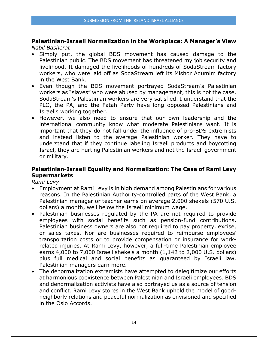**Palestinian-Israeli Normalization in the Workplace: A Manager's View**  *Nabil Basherat* 

- Simply put, the global BDS movement has caused damage to the Palestinian public. The BDS movement has threatened my job security and livelihood. It damaged the livelihoods of hundreds of SodaStream factory workers, who were laid off as SodaStream left its Mishor Adumim factory in the West Bank.
- Even though the BDS movement portrayed SodaStream's Palestinian workers as "slaves" who were abused by management, this is not the case. SodaStream's Palestinian workers are very satisfied. I understand that the PLO, the PA, and the Fatah Party have long opposed Palestinians and Israelis working together.
- However, we also need to ensure that our own leadership and the international community know what moderate Palestinians want. It is important that they do not fall under the influence of pro-BDS extremists and instead listen to the average Palestinian worker. They have to understand that if they continue labeling Israeli products and boycotting Israel, they are hurting Palestinian workers and not the Israeli government or military.

### **Palestinian-Israeli Equality and Normalization: The Case of Rami Levy Supermarkets**

*Rami Levy* 

- Employment at Rami Levy is in high demand among Palestinians for various reasons. In the Palestinian Authority-controlled parts of the West Bank, a Palestinian manager or teacher earns on average 2,000 shekels (570 U.S. dollars) a month, well below the Israeli minimum wage.
- Palestinian businesses regulated by the PA are not required to provide employees with social benefits such as pension-fund contributions. Palestinian business owners are also not required to pay property, excise, or sales taxes. Nor are businesses required to reimburse employees' transportation costs or to provide compensation or insurance for workrelated injuries. At Rami Levy, however, a full-time Palestinian employee earns 4,000 to 7,000 Israeli shekels a month (1,142 to 2,000 U.S. dollars) plus full medical and social benefits as guaranteed by Israeli law. Palestinian managers earn more.
- The denormalization extremists have attempted to delegitimize our efforts at harmonious coexistence between Palestinian and Israeli employees. BDS and denormalization activists have also portrayed us as a source of tension and conflict. Rami Levy stores in the West Bank uphold the model of goodneighborly relations and peaceful normalization as envisioned and specified in the Oslo Accords.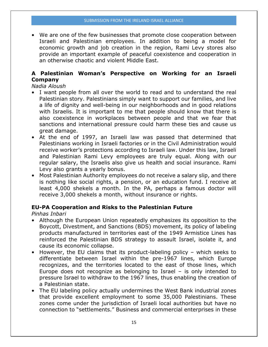• We are one of the few businesses that promote close cooperation between Israeli and Palestinian employees. In addition to being a model for economic growth and job creation in the region, Rami Levy stores also provide an important example of peaceful coexistence and cooperation in an otherwise chaotic and violent Middle East.

## **A Palestinian Woman's Perspective on Working for an Israeli Company**

*Nadia Aloush* 

- I want people from all over the world to read and to understand the real Palestinian story. Palestinians simply want to support our families, and live a life of dignity and well-being in our neighborhoods and in good relations with Israelis. It is important to me that people should know that there is also coexistence in workplaces between people and that we fear that sanctions and international pressure could harm these ties and cause us great damage.
- At the end of 1997, an Israeli law was passed that determined that Palestinians working in Israeli factories or in the Civil Administration would receive worker's protections according to Israeli law. Under this law, Israeli and Palestinian Rami Levy employees are truly equal. Along with our regular salary, the Israelis also give us health and social insurance. Rami Levy also grants a yearly bonus.
- Most Palestinian Authority employees do not receive a salary slip, and there is nothing like social rights, a pension, or an education fund. I receive at least 4,000 shekels a month. In the PA, perhaps a famous doctor will receive 3,000 shekels a month, without insurance or rights.

## **EU-PA Cooperation and Risks to the Palestinian Future**

*Pinhas Inbari* 

- Although the European Union repeatedly emphasizes its opposition to the Boycott, Divestment, and Sanctions (BDS) movement, its policy of labeling products manufactured in territories east of the 1949 Armistice Lines has reinforced the Palestinian BDS strategy to assault Israel, isolate it, and cause its economic collapse.
- However, the EU claims that its product-labeling policy which seeks to differentiate between Israel within the pre-1967 lines, which Europe recognizes, and the territories located to the east of those lines, which Europe does not recognize as belonging to Israel – is only intended to pressure Israel to withdraw to the 1967 lines, thus enabling the creation of a Palestinian state.
- The EU labeling policy actually undermines the West Bank industrial zones that provide excellent employment to some 35,000 Palestinians. These zones come under the jurisdiction of Israeli local authorities but have no connection to "settlements." Business and commercial enterprises in these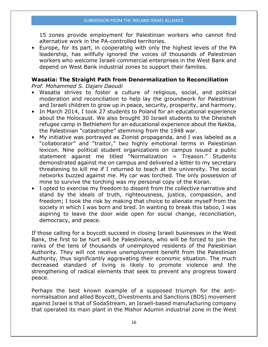15 zones provide employment for Palestinian workers who cannot find alternative work in the PA-controlled territories.

• Europe, for its part, in cooperating with only the highest levels of the PA leadership, has willfully ignored the voices of thousands of Palestinian workers who welcome Israeli commercial enterprises in the West Bank and depend on West Bank industrial zones to support their families.

## **Wasatia: The Straight Path from Denormalization to Reconciliation**

*Prof. Mohammed S. Dajani Daoudi* 

- Wasatia strives to foster a culture of religious, social, and political moderation and reconciliation to help lay the groundwork for Palestinian and Israeli children to grow up in peace, security, prosperity, and harmony.
- In March 2014, I took 27 students to Poland for an educational experience about the Holocaust. We also brought 30 Israeli students to the Dheisheh refugee camp in Bethlehem for an educational experience about the Nakba, the Palestinian "catastrophe" stemming from the 1948 war.
- My initiative was portrayed as Zionist propaganda, and I was labeled as a "collaborator" and "traitor," two highly emotional terms in Palestinian lexicon. Nine political student organizations on campus issued a public statement against me titled "Normalization = Treason." Students demonstrated against me on campus and delivered a letter to my secretary threatening to kill me if I returned to teach at the university. The social networks buzzed against me. My car was torched. The only possession of mine to survive the torching was my personal copy of the Koran.
- I opted to exercise my freedom to dissent from the collective narrative and stand by the ideals of truth, righteousness, justice, compassion, and freedom; I took the risk by making that choice to alienate myself from the society in which I was born and bred. In wanting to break this taboo, I was aspiring to leave the door wide open for social change, reconciliation, democracy, and peace.

If those calling for a boycott succeed in closing Israeli businesses in the West Bank, the first to be hurt will be Palestinians, who will be forced to join the ranks of the tens of thousands of unemployed residents of the Palestinian Authority. They will not receive unemployment benefit from the Palestinian Authority, thus significantly aggravating their economic situation. The much decreased standard of living is likely to promote violence and the strengthening of radical elements that seek to prevent any progress toward peace.

Perhaps the best known example of a supposed triumph for the antinormalisation and allied Boycott, Divestments and Sanctions (BDS) movement against Israel is that of SodaStream, an Israeli-based manufacturing company that operated its main plant in the Mishor Adumin industrial zone in the West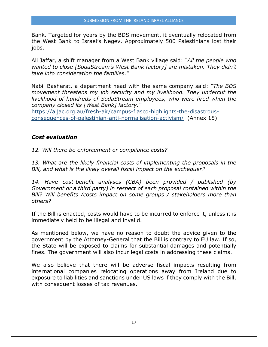Bank. Targeted for years by the BDS movement, it eventually relocated from the West Bank to Israel's Negev. Approximately 500 Palestinians lost their jobs.

Ali Jaffar, a shift manager from a West Bank village said: *"All the people who wanted to close [SodaStream's West Bank factory] are mistaken. They didn't take into consideration the families."*

Nabil Basherat, a department head with the same company said: *"The BDS movement threatens my job security and my livelihood. They undercut the livelihood of hundreds of SodaStream employees, who were fired when the company closed its [West Bank] factory."*

[https://aijac.org.au/fresh-air/campus-fiasco-highlights-the-disastrous](https://aijac.org.au/fresh-air/campus-fiasco-highlights-the-disastrous-consequences-of-palestinian-anti-normalisation-activism/)[consequences-of-palestinian-anti-normalisation-activism/](https://aijac.org.au/fresh-air/campus-fiasco-highlights-the-disastrous-consequences-of-palestinian-anti-normalisation-activism/) (Annex 15)

#### *Cost evaluation*

*12. Will there be enforcement or compliance costs?* 

*13. What are the likely financial costs of implementing the proposals in the Bill, and what is the likely overall fiscal impact on the exchequer?* 

*14. Have cost-benefit analyses (CBA) been provided / published (by Government or a third party) in respect of each proposal contained within the Bill? Will benefits /costs impact on some groups / stakeholders more than others?* 

If the Bill is enacted, costs would have to be incurred to enforce it, unless it is immediately held to be illegal and invalid.

As mentioned below, we have no reason to doubt the advice given to the government by the Attorney-General that the Bill is contrary to EU law. If so, the State will be exposed to claims for substantial damages and potentially fines. The government will also incur legal costs in addressing these claims.

We also believe that there will be adverse fiscal impacts resulting from international companies relocating operations away from Ireland due to exposure to liabilities and sanctions under US laws if they comply with the Bill, with consequent losses of tax revenues.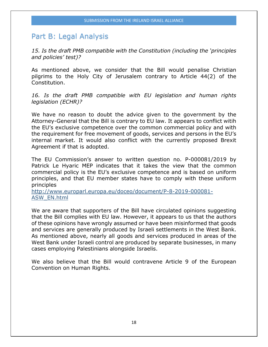## Part B: Legal Analysis

*15. Is the draft PMB compatible with the Constitution (including the 'principles and policies' test)?* 

As mentioned above, we consider that the Bill would penalise Christian pilgrims to the Holy City of Jerusalem contrary to Article 44(2) of the Constitution.

*16. Is the draft PMB compatible with EU legislation and human rights legislation (ECHR)?* 

We have no reason to doubt the advice given to the government by the Attorney-General that the Bill is contrary to EU law. It appears to conflict witih the EU's exclusive competence over the common commercial policy and with the requirement for free movement of goods, services and persons in the EU's internal market. It would also conflict with the currently proposed Brexit Agreement if that is adopted.

The EU Commission's answer to written question no. [P-000081/2019](http://www.europarl.europa.eu/doceo/document/P-8-2019-000081_EN.html) by Patrick Le Hyaric MEP indicates that it takes the view that the common commercial policy is the EU's exclusive competence and is based on uniform principles, and that EU member states have to comply with these uniform principles

[http://www.europarl.europa.eu/doceo/document/P-8-2019-000081-](http://www.europarl.europa.eu/doceo/document/P-8-2019-000081-ASW_EN.html) [ASW\\_EN.html](http://www.europarl.europa.eu/doceo/document/P-8-2019-000081-ASW_EN.html)

We are aware that supporters of the Bill have circulated opinions suggesting that the Bill complies with EU law. However, it appears to us that the authors of these opinions have wrongly assumed or have been misinformed that goods and services are generally produced by Israeli settlements in the West Bank. As mentioned above, nearly all goods and services produced in areas of the West Bank under Israeli control are produced by separate businesses, in many cases employing Palestinians alongside Israelis.

We also believe that the Bill would contravene Article 9 of the European Convention on Human Rights.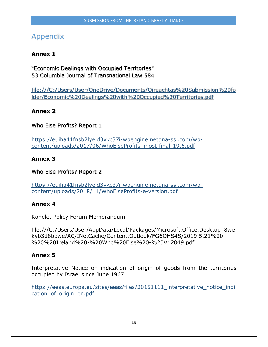# Appendix

## **Annex 1**

"Economic Dealings with Occupied Territories" 53 Columbia Journal of Transnational Law 584

file:///C:/Users/User/OneDrive/Documents/Oireachtas%20Submission%20fo lder/Economic%20Dealings%20with%20Occupied%20Territories.pdf

## **Annex 2**

Who Else Profits? Report 1

[https://euiha41fnsb2lyeld3vkc37i-wpengine.netdna-ssl.com/wp](https://euiha41fnsb2lyeld3vkc37i-wpengine.netdna-ssl.com/wp-content/uploads/2017/06/WhoElseProfits_most-final-19.6.pdf)[content/uploads/2017/06/WhoElseProfits\\_most-final-19.6.pdf](https://euiha41fnsb2lyeld3vkc37i-wpengine.netdna-ssl.com/wp-content/uploads/2017/06/WhoElseProfits_most-final-19.6.pdf) 

## **Annex 3**

Who Else Profits? Report 2

[https://euiha41fnsb2lyeld3vkc37i-wpengine.netdna-ssl.com/wp](https://euiha41fnsb2lyeld3vkc37i-wpengine.netdna-ssl.com/wp-content/uploads/2018/11/WhoElseProfits-e-version.pdf)[content/uploads/2018/11/WhoElseProfits-e-version.pdf](https://euiha41fnsb2lyeld3vkc37i-wpengine.netdna-ssl.com/wp-content/uploads/2018/11/WhoElseProfits-e-version.pdf)

## **Annex 4**

Kohelet Policy Forum Memorandum

file:///C:/Users/User/AppData/Local/Packages/Microsoft.Office.Desktop\_8we kyb3d8bbwe/AC/INetCache/Content.Outlook/FG6OHS4S/2019.5.21%20- %20%20Ireland%20-%20Who%20Else%20-%20V12049.pdf

## **Annex 5**

Interpretative Notice on indication of origin of goods from the territories occupied by Israel since June 1967.

[https://eeas.europa.eu/sites/eeas/files/20151111\\_interpretative\\_notice\\_indi](https://eeas.europa.eu/sites/eeas/files/20151111_interpretative_notice_indication_of_origin_en.pdf) [cation\\_of\\_origin\\_en.pdf](https://eeas.europa.eu/sites/eeas/files/20151111_interpretative_notice_indication_of_origin_en.pdf)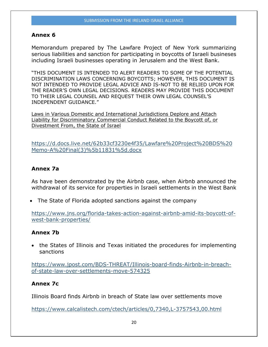#### **Annex 6**

Memorandum prepared by The Lawfare Project of New York summarizing serious liabilities and sanction for participating in boycotts of Israeli busineses including Israeli businesses operating in Jerusalem and the West Bank.

"THIS DOCUMENT IS INTENDED TO ALERT READERS TO SOME OF THE POTENTIAL DISCRIMINATION LAWS CONCERNING BOYCOTTS; HOWEVER, THIS DOCUMENT IS NOT INTENDED TO PROVIDE LEGAL ADVICE AND IS-NOT TO BE RELIED UPON FOR THE READER'S OWN LEGAL DECISIONS. READERS MAY PROVIDE THIS DOCUMENT TO THEIR LEGAL COUNSEL AND REQUEST THEIR OWN LEGAL COUNSEL'S INDEPENDENT GUIDANCE."

Laws in Various Domestic and International Jurisdictions Deplore and Attach Liability for Discriminatory Commercial Conduct Related to the Boycott of, or Divestment From, the State of Israel

[https://d.docs.live.net/62b33cf3230e4f35/Lawfare%20Project%20BDS%20](https://d.docs.live.net/62b33cf3230e4f35/Lawfare%20Project%20BDS%20Memo-A%20Final(3)%5b11831%5d.docx) [Memo-A%20Final\(3\)%5b11831%5d.docx](https://d.docs.live.net/62b33cf3230e4f35/Lawfare%20Project%20BDS%20Memo-A%20Final(3)%5b11831%5d.docx)

#### **Annex 7a**

As have been demonstrated by the Airbnb case, when Airbnb announced the withdrawal of its service for properties in Israeli settlements in the West Bank

• The State of Florida adopted sanctions against the company

[https://www.jns.org/florida-takes-action-against-airbnb-amid-its-boycott-of](https://www.jns.org/florida-takes-action-against-airbnb-amid-its-boycott-of-west-bank-properties/)[west-bank-properties/](https://www.jns.org/florida-takes-action-against-airbnb-amid-its-boycott-of-west-bank-properties/) 

#### **Annex 7b**

• the States of Illinois and Texas initiated the procedures for implementing sanctions

[https://www.jpost.com/BDS-THREAT/Illinois-board-finds-Airbnb-in-breach](https://www.jpost.com/BDS-THREAT/Illinois-board-finds-Airbnb-in-breach-of-state-law-over-settlements-move-574325)[of-state-law-over-settlements-move-574325](https://www.jpost.com/BDS-THREAT/Illinois-board-finds-Airbnb-in-breach-of-state-law-over-settlements-move-574325)

#### **Annex 7c**

Illinois Board finds Airbnb in breach of State law over settlements move

<https://www.calcalistech.com/ctech/articles/0,7340,L-3757543,00.html>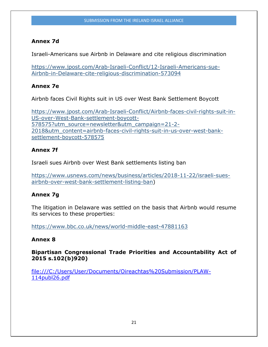## **Annex 7d**

Israeli-Americans sue Airbnb in Delaware and cite religious discrimination

[https://www.jpost.com/Arab-Israeli-Conflict/12-Israeli-Americans-sue-](https://www.jpost.com/Arab-Israeli-Conflict/12-Israeli-Americans-sue-Airbnb-in-Delaware-cite-religious-discrimination-573094)[Airbnb-in-Delaware-cite-religious-discrimination-573094](https://www.jpost.com/Arab-Israeli-Conflict/12-Israeli-Americans-sue-Airbnb-in-Delaware-cite-religious-discrimination-573094)

## **Annex 7e**

Airbnb faces Civil Rights suit in US over West Bank Settlement Boycott

[https://www.jpost.com/Arab-Israeli-Conflict/Airbnb-faces-civil-rights-suit-in-](https://www.jpost.com/Arab-Israeli-Conflict/Airbnb-faces-civil-rights-suit-in-US-over-West-Bank-settlement-boycott-578575?utm_source=newsletter&utm_campaign=21-2-2018&utm_content=airbnb-faces-civil-rights-suit-in-us-over-west-bank-settlement-boycott-578575)[US-over-West-Bank-settlement-boycott-](https://www.jpost.com/Arab-Israeli-Conflict/Airbnb-faces-civil-rights-suit-in-US-over-West-Bank-settlement-boycott-578575?utm_source=newsletter&utm_campaign=21-2-2018&utm_content=airbnb-faces-civil-rights-suit-in-us-over-west-bank-settlement-boycott-578575)[578575?utm\\_source=newsletter&utm\\_campaign=21-2-](https://www.jpost.com/Arab-Israeli-Conflict/Airbnb-faces-civil-rights-suit-in-US-over-West-Bank-settlement-boycott-578575?utm_source=newsletter&utm_campaign=21-2-2018&utm_content=airbnb-faces-civil-rights-suit-in-us-over-west-bank-settlement-boycott-578575) [2018&utm\\_content=airbnb-faces-civil-rights-suit-in-us-over-west-bank](https://www.jpost.com/Arab-Israeli-Conflict/Airbnb-faces-civil-rights-suit-in-US-over-West-Bank-settlement-boycott-578575?utm_source=newsletter&utm_campaign=21-2-2018&utm_content=airbnb-faces-civil-rights-suit-in-us-over-west-bank-settlement-boycott-578575)[settlement-boycott-578575](https://www.jpost.com/Arab-Israeli-Conflict/Airbnb-faces-civil-rights-suit-in-US-over-West-Bank-settlement-boycott-578575?utm_source=newsletter&utm_campaign=21-2-2018&utm_content=airbnb-faces-civil-rights-suit-in-us-over-west-bank-settlement-boycott-578575)

## **Annex 7f**

Israeli sues Airbnb over West Bank settlements listing ban

[https://www.usnews.com/news/business/articles/2018-11-22/israeli-sues](https://www.usnews.com/news/business/articles/2018-11-22/israeli-sues-airbnb-over-west-bank-settlement-listing-ban)[airbnb-over-west-bank-settlement-listing-ban\)](https://www.usnews.com/news/business/articles/2018-11-22/israeli-sues-airbnb-over-west-bank-settlement-listing-ban)

## **Annex 7g**

The litigation in Delaware was settled on the basis that Airbnb would resume its services to these properties:

<https://www.bbc.co.uk/news/world-middle-east-47881163>

## **Annex 8**

**Bipartisan Congressional Trade Priorities and Accountability Act of 2015 s.102(b)920)**

file:///C:/Users/User/Documents/Oireachtas%20Submission/PLAW-114publ26.pdf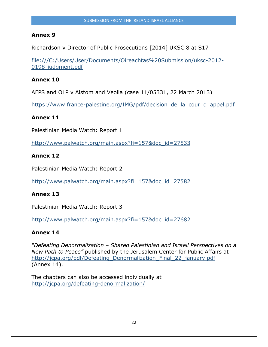### **Annex 9**

Richardson v Director of Public Prosecutions [2014] UKSC 8 at S17

file:///C:/Users/User/Documents/Oireachtas%20Submission/uksc-2012- 0198-judgment.pdf

## **Annex 10**

AFPS and OLP v Alstom and Veolia (case 11/05331, 22 March 2013)

https://www.france-palestine.org/IMG/pdf/decision de la cour d appel.pdf

### **Annex 11**

Palestinian Media Watch: Report 1

[http://www.palwatch.org/main.aspx?fi=157&doc\\_id=27533](http://www.palwatch.org/main.aspx?fi=157&doc_id=27533)

### **Annex 12**

Palestinian Media Watch: Report 2

[http://www.palwatch.org/main.aspx?fi=157&doc\\_id=27582](http://www.palwatch.org/main.aspx?fi=157&doc_id=27582)

#### **Annex 13**

Palestinian Media Watch: Report 3

[http://www.palwatch.org/main.aspx?fi=157&doc\\_id=27682](http://www.palwatch.org/main.aspx?fi=157&doc_id=27682)

#### **Annex 14**

*"Defeating Denormalization – Shared Palestinian and Israeli Perspectives on a New Path to Peace"* published by the Jerusalem Center for Public Affairs at [http://jcpa.org/pdf/Defeating\\_Denormalization\\_Final\\_22\\_january.pdf](http://jcpa.org/pdf/Defeating_Denormalization_Final_22_january.pdf) (Annex 14).

The chapters can also be accessed individually at <http://jcpa.org/defeating-denormalization/>